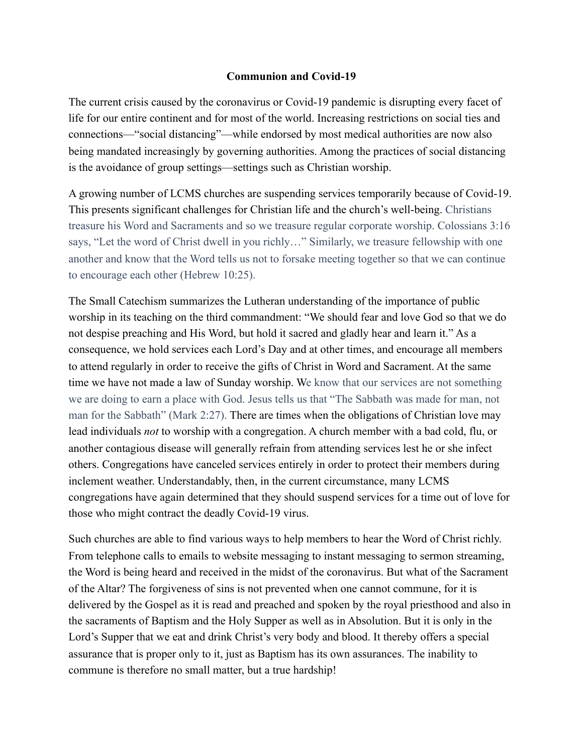## **Communion and Covid-19**

The current crisis caused by the coronavirus or Covid-19 pandemic is disrupting every facet of life for our entire continent and for most of the world. Increasing restrictions on social ties and connections—"social distancing"—while endorsed by most medical authorities are now also being mandated increasingly by governing authorities. Among the practices of social distancing is the avoidance of group settings—settings such as Christian worship.

A growing number of LCMS churches are suspending services temporarily because of Covid-19. This presents significant challenges for Christian life and the church's well-being. Christians treasure his Word and Sacraments and so we treasure regular corporate worship. Colossians 3:16 says, "Let the word of Christ dwell in you richly…" Similarly, we treasure fellowship with one another and know that the Word tells us not to forsake meeting together so that we can continue to encourage each other (Hebrew 10:25).

The Small Catechism summarizes the Lutheran understanding of the importance of public worship in its teaching on the third commandment: "We should fear and love God so that we do not despise preaching and His Word, but hold it sacred and gladly hear and learn it." As a consequence, we hold services each Lord's Day and at other times, and encourage all members to attend regularly in order to receive the gifts of Christ in Word and Sacrament. At the same time we have not made a law of Sunday worship. We know that our services are not something we are doing to earn a place with God. Jesus tells us that "The Sabbath was made for man, not man for the Sabbath" (Mark 2:27). There are times when the obligations of Christian love may lead individuals *not* to worship with a congregation. A church member with a bad cold, flu, or another contagious disease will generally refrain from attending services lest he or she infect others. Congregations have canceled services entirely in order to protect their members during inclement weather. Understandably, then, in the current circumstance, many LCMS congregations have again determined that they should suspend services for a time out of love for those who might contract the deadly Covid-19 virus.

Such churches are able to find various ways to help members to hear the Word of Christ richly. From telephone calls to emails to website messaging to instant messaging to sermon streaming, the Word is being heard and received in the midst of the coronavirus. But what of the Sacrament of the Altar? The forgiveness of sins is not prevented when one cannot commune, for it is delivered by the Gospel as it is read and preached and spoken by the royal priesthood and also in the sacraments of Baptism and the Holy Supper as well as in Absolution. But it is only in the Lord's Supper that we eat and drink Christ's very body and blood. It thereby offers a special assurance that is proper only to it, just as Baptism has its own assurances. The inability to commune is therefore no small matter, but a true hardship!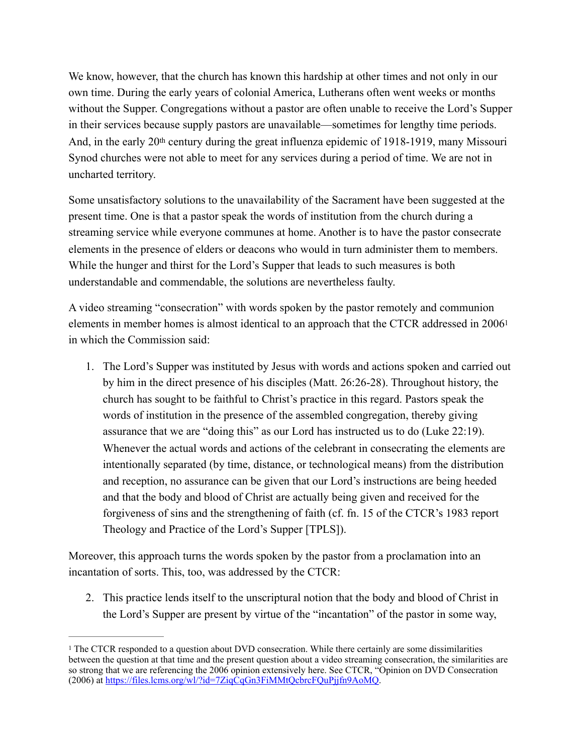We know, however, that the church has known this hardship at other times and not only in our own time. During the early years of colonial America, Lutherans often went weeks or months without the Supper. Congregations without a pastor are often unable to receive the Lord's Supper in their services because supply pastors are unavailable—sometimes for lengthy time periods. And, in the early 20th century during the great influenza epidemic of 1918-1919, many Missouri Synod churches were not able to meet for any services during a period of time. We are not in uncharted territory.

Some unsatisfactory solutions to the unavailability of the Sacrament have been suggested at the present time. One is that a pastor speak the words of institution from the church during a streaming service while everyone communes at home. Another is to have the pastor consecrate elements in the presence of elders or deacons who would in turn administer them to members. While the hunger and thirst for the Lord's Supper that leads to such measures is both understandable and commendable, the solutions are nevertheless faulty.

A video streaming "consecration" with words spoken by the pastor remotely and communion elements in member homes is almost identical to an approach that the CTCR addressed in 200[61](#page-1-0) in which the Commission said:

<span id="page-1-1"></span>1. The Lord's Supper was instituted by Jesus with words and actions spoken and carried out by him in the direct presence of his disciples (Matt. 26:26-28). Throughout history, the church has sought to be faithful to Christ's practice in this regard. Pastors speak the words of institution in the presence of the assembled congregation, thereby giving assurance that we are "doing this" as our Lord has instructed us to do (Luke 22:19). Whenever the actual words and actions of the celebrant in consecrating the elements are intentionally separated (by time, distance, or technological means) from the distribution and reception, no assurance can be given that our Lord's instructions are being heeded and that the body and blood of Christ are actually being given and received for the forgiveness of sins and the strengthening of faith (cf. fn. 15 of the CTCR's 1983 report Theology and Practice of the Lord's Supper [TPLS]).

Moreover, this approach turns the words spoken by the pastor from a proclamation into an incantation of sorts. This, too, was addressed by the CTCR:

2. This practice lends itself to the unscriptural notion that the body and blood of Christ in the Lord's Supper are present by virtue of the "incantation" of the pastor in some way,

<span id="page-1-0"></span><sup>&</sup>lt;sup>[1](#page-1-1)</sup> The CTCR responded to a question about DVD consecration. While there certainly are some dissimilarities between the question at that time and the present question about a video streaming consecration, the similarities are so strong that we are referencing the 2006 opinion extensively here. See CTCR, "Opinion on DVD Consecration (2006) at <https://files.lcms.org/wl/?id=7ZiqCqGn3FiMMtQcbrcFQuPjjfn9AoMQ>.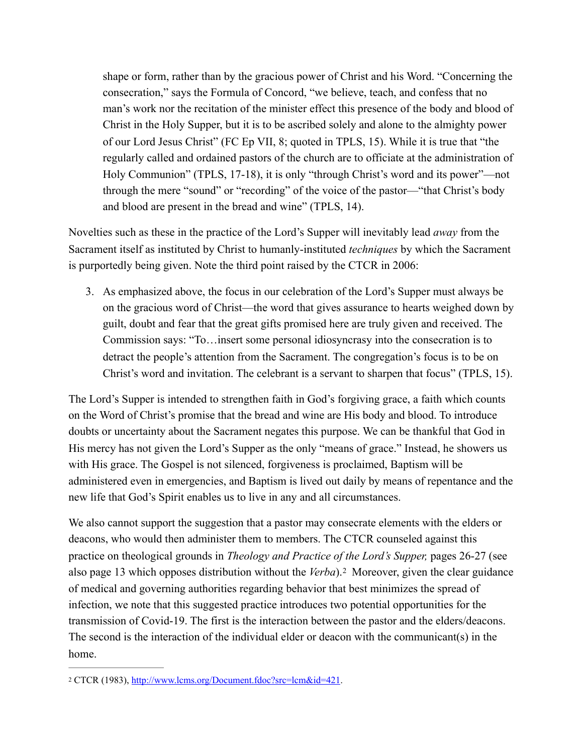shape or form, rather than by the gracious power of Christ and his Word. "Concerning the consecration," says the Formula of Concord, "we believe, teach, and confess that no man's work nor the recitation of the minister effect this presence of the body and blood of Christ in the Holy Supper, but it is to be ascribed solely and alone to the almighty power of our Lord Jesus Christ" (FC Ep VII, 8; quoted in TPLS, 15). While it is true that "the regularly called and ordained pastors of the church are to officiate at the administration of Holy Communion" (TPLS, 17-18), it is only "through Christ's word and its power"—not through the mere "sound" or "recording" of the voice of the pastor—"that Christ's body and blood are present in the bread and wine" (TPLS, 14).

Novelties such as these in the practice of the Lord's Supper will inevitably lead *away* from the Sacrament itself as instituted by Christ to humanly-instituted *techniques* by which the Sacrament is purportedly being given. Note the third point raised by the CTCR in 2006:

3. As emphasized above, the focus in our celebration of the Lord's Supper must always be on the gracious word of Christ—the word that gives assurance to hearts weighed down by guilt, doubt and fear that the great gifts promised here are truly given and received. The Commission says: "To…insert some personal idiosyncrasy into the consecration is to detract the people's attention from the Sacrament. The congregation's focus is to be on Christ's word and invitation. The celebrant is a servant to sharpen that focus" (TPLS, 15).

The Lord's Supper is intended to strengthen faith in God's forgiving grace, a faith which counts on the Word of Christ's promise that the bread and wine are His body and blood. To introduce doubts or uncertainty about the Sacrament negates this purpose. We can be thankful that God in His mercy has not given the Lord's Supper as the only "means of grace." Instead, he showers us with His grace. The Gospel is not silenced, forgiveness is proclaimed, Baptism will be administered even in emergencies, and Baptism is lived out daily by means of repentance and the new life that God's Spirit enables us to live in any and all circumstances.

<span id="page-2-1"></span>We also cannot support the suggestion that a pastor may consecrate elements with the elders or deacons, who would then administer them to members. The CTCR counseled against this practice on theological grounds in *Theology and Practice of the Lord's Supper,* pages 26-27 (see alsopage 13 which opposes distribution without the *Verba*).<sup>[2](#page-2-0)</sup> Moreover, given the clear guidance of medical and governing authorities regarding behavior that best minimizes the spread of infection, we note that this suggested practice introduces two potential opportunities for the transmission of Covid-19. The first is the interaction between the pastor and the elders/deacons. The second is the interaction of the individual elder or deacon with the communicant(s) in the home.

<span id="page-2-0"></span><sup>&</sup>lt;sup>2</sup> CTCR (1983), [http://www.lcms.org/Document.fdoc?src=lcm&id=421.](http://www.lcms.org/Document.fdoc?src=lcm&id=421)